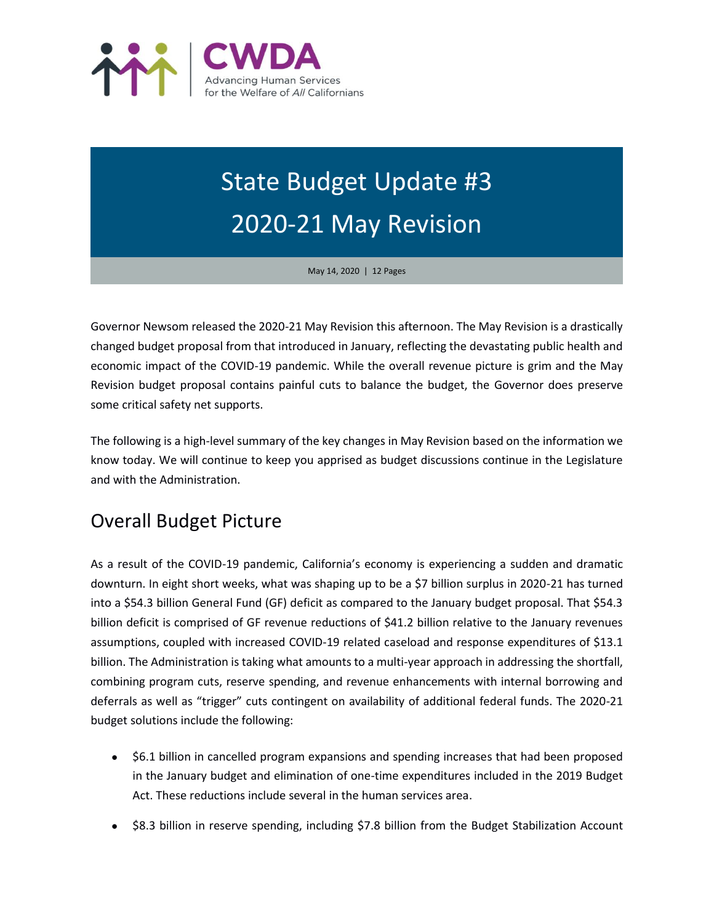

# State Budget Update #3 2020-21 May Revision

May 14, 2020 | 12 Pages

Governor Newsom released the 2020-21 May Revision this afternoon. The May Revision is a drastically changed budget proposal from that introduced in January, reflecting the devastating public health and economic impact of the COVID-19 pandemic. While the overall revenue picture is grim and the May Revision budget proposal contains painful cuts to balance the budget, the Governor does preserve some critical safety net supports.

The following is a high-level summary of the key changes in May Revision based on the information we know today. We will continue to keep you apprised as budget discussions continue in the Legislature and with the Administration.

# Overall Budget Picture

As a result of the COVID-19 pandemic, California's economy is experiencing a sudden and dramatic downturn. In eight short weeks, what was shaping up to be a \$7 billion surplus in 2020-21 has turned into a \$54.3 billion General Fund (GF) deficit as compared to the January budget proposal. That \$54.3 billion deficit is comprised of GF revenue reductions of \$41.2 billion relative to the January revenues assumptions, coupled with increased COVID-19 related caseload and response expenditures of \$13.1 billion. The Administration is taking what amounts to a multi-year approach in addressing the shortfall, combining program cuts, reserve spending, and revenue enhancements with internal borrowing and deferrals as well as "trigger" cuts contingent on availability of additional federal funds. The 2020-21 budget solutions include the following:

- \$6.1 billion in cancelled program expansions and spending increases that had been proposed in the January budget and elimination of one-time expenditures included in the 2019 Budget Act. These reductions include several in the human services area.
- \$8.3 billion in reserve spending, including \$7.8 billion from the Budget Stabilization Account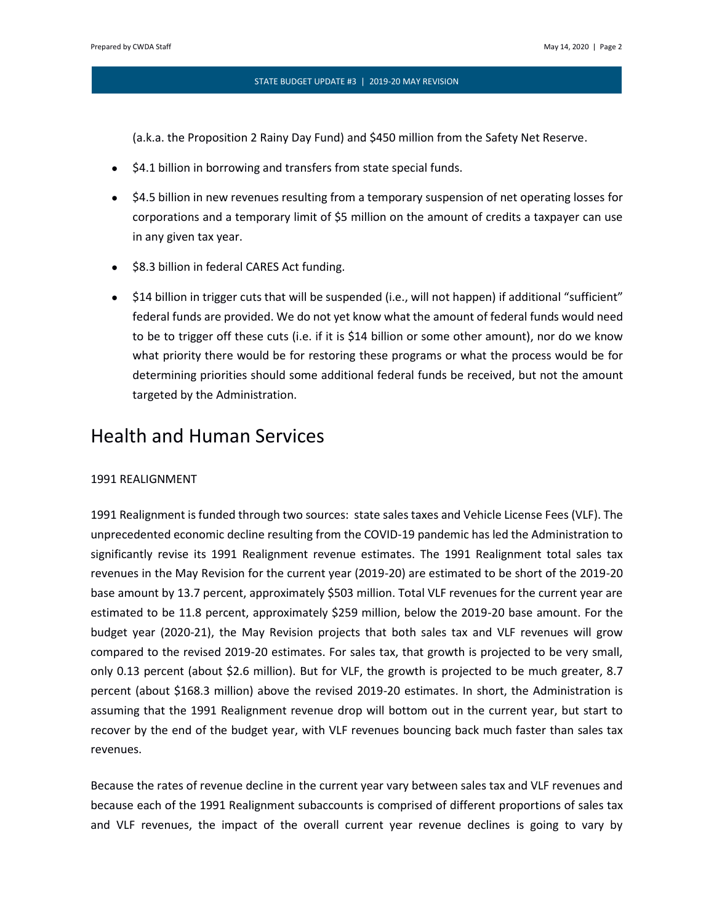(a.k.a. the Proposition 2 Rainy Day Fund) and \$450 million from the Safety Net Reserve.

- \$4.1 billion in borrowing and transfers from state special funds.
- \$4.5 billion in new revenues resulting from a temporary suspension of net operating losses for corporations and a temporary limit of \$5 million on the amount of credits a taxpayer can use in any given tax year.
- \$8.3 billion in federal CARES Act funding.
- \$14 billion in trigger cuts that will be suspended (i.e., will not happen) if additional "sufficient" federal funds are provided. We do not yet know what the amount of federal funds would need to be to trigger off these cuts (i.e. if it is \$14 billion or some other amount), nor do we know what priority there would be for restoring these programs or what the process would be for determining priorities should some additional federal funds be received, but not the amount targeted by the Administration.

# Health and Human Services

#### 1991 REALIGNMENT

1991 Realignment is funded through two sources: state sales taxes and Vehicle License Fees (VLF). The unprecedented economic decline resulting from the COVID-19 pandemic has led the Administration to significantly revise its 1991 Realignment revenue estimates. The 1991 Realignment total sales tax revenues in the May Revision for the current year (2019-20) are estimated to be short of the 2019-20 base amount by 13.7 percent, approximately \$503 million. Total VLF revenues for the current year are estimated to be 11.8 percent, approximately \$259 million, below the 2019-20 base amount. For the budget year (2020-21), the May Revision projects that both sales tax and VLF revenues will grow compared to the revised 2019-20 estimates. For sales tax, that growth is projected to be very small, only 0.13 percent (about \$2.6 million). But for VLF, the growth is projected to be much greater, 8.7 percent (about \$168.3 million) above the revised 2019-20 estimates. In short, the Administration is assuming that the 1991 Realignment revenue drop will bottom out in the current year, but start to recover by the end of the budget year, with VLF revenues bouncing back much faster than sales tax revenues.

Because the rates of revenue decline in the current year vary between sales tax and VLF revenues and because each of the 1991 Realignment subaccounts is comprised of different proportions of sales tax and VLF revenues, the impact of the overall current year revenue declines is going to vary by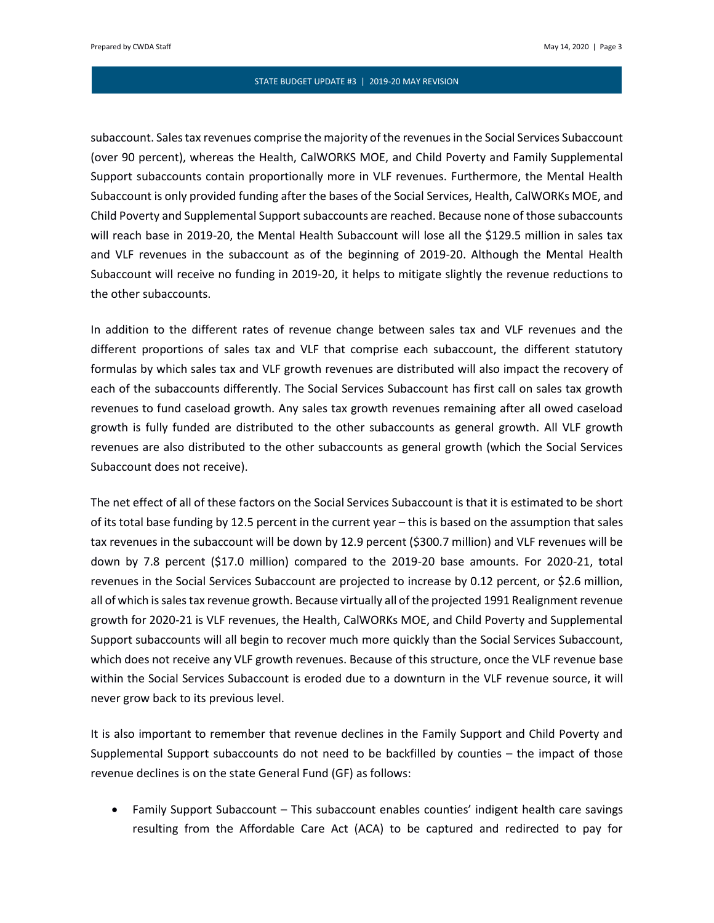subaccount. Sales tax revenues comprise the majority of the revenues in the Social Services Subaccount (over 90 percent), whereas the Health, CalWORKS MOE, and Child Poverty and Family Supplemental Support subaccounts contain proportionally more in VLF revenues. Furthermore, the Mental Health Subaccount is only provided funding after the bases of the Social Services, Health, CalWORKs MOE, and Child Poverty and Supplemental Support subaccounts are reached. Because none of those subaccounts will reach base in 2019-20, the Mental Health Subaccount will lose all the \$129.5 million in sales tax and VLF revenues in the subaccount as of the beginning of 2019-20. Although the Mental Health Subaccount will receive no funding in 2019-20, it helps to mitigate slightly the revenue reductions to the other subaccounts.

In addition to the different rates of revenue change between sales tax and VLF revenues and the different proportions of sales tax and VLF that comprise each subaccount, the different statutory formulas by which sales tax and VLF growth revenues are distributed will also impact the recovery of each of the subaccounts differently. The Social Services Subaccount has first call on sales tax growth revenues to fund caseload growth. Any sales tax growth revenues remaining after all owed caseload growth is fully funded are distributed to the other subaccounts as general growth. All VLF growth revenues are also distributed to the other subaccounts as general growth (which the Social Services Subaccount does not receive).

The net effect of all of these factors on the Social Services Subaccount is that it is estimated to be short of its total base funding by 12.5 percent in the current year – this is based on the assumption that sales tax revenues in the subaccount will be down by 12.9 percent (\$300.7 million) and VLF revenues will be down by 7.8 percent (\$17.0 million) compared to the 2019-20 base amounts. For 2020-21, total revenues in the Social Services Subaccount are projected to increase by 0.12 percent, or \$2.6 million, all of which is sales tax revenue growth. Because virtually all of the projected 1991 Realignment revenue growth for 2020-21 is VLF revenues, the Health, CalWORKs MOE, and Child Poverty and Supplemental Support subaccounts will all begin to recover much more quickly than the Social Services Subaccount, which does not receive any VLF growth revenues. Because of this structure, once the VLF revenue base within the Social Services Subaccount is eroded due to a downturn in the VLF revenue source, it will never grow back to its previous level.

It is also important to remember that revenue declines in the Family Support and Child Poverty and Supplemental Support subaccounts do not need to be backfilled by counties – the impact of those revenue declines is on the state General Fund (GF) as follows:

• Family Support Subaccount – This subaccount enables counties' indigent health care savings resulting from the Affordable Care Act (ACA) to be captured and redirected to pay for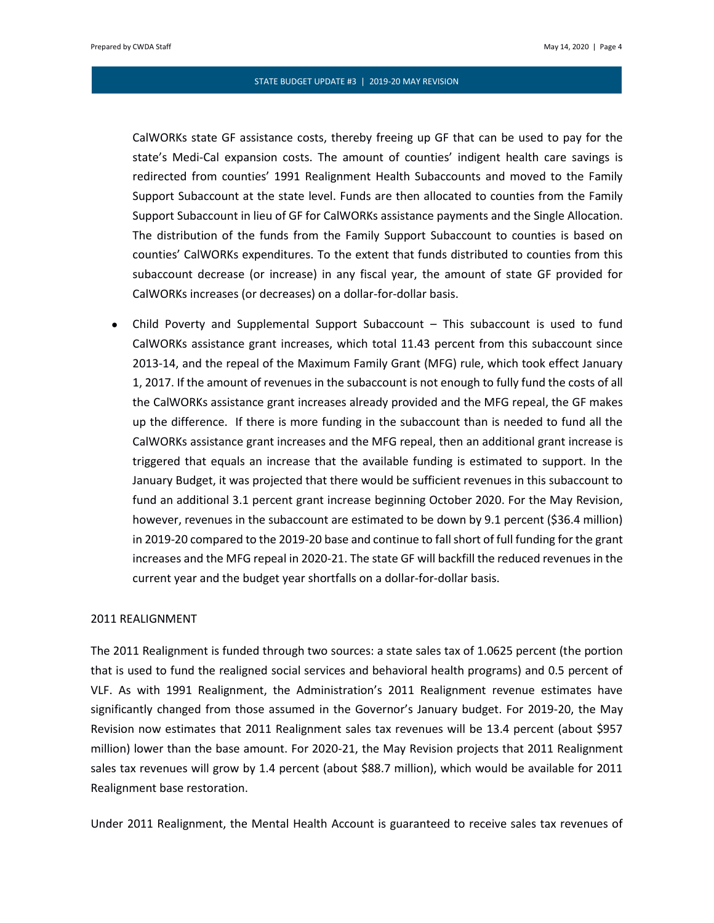CalWORKs state GF assistance costs, thereby freeing up GF that can be used to pay for the state's Medi-Cal expansion costs. The amount of counties' indigent health care savings is redirected from counties' 1991 Realignment Health Subaccounts and moved to the Family Support Subaccount at the state level. Funds are then allocated to counties from the Family Support Subaccount in lieu of GF for CalWORKs assistance payments and the Single Allocation. The distribution of the funds from the Family Support Subaccount to counties is based on counties' CalWORKs expenditures. To the extent that funds distributed to counties from this subaccount decrease (or increase) in any fiscal year, the amount of state GF provided for CalWORKs increases (or decreases) on a dollar-for-dollar basis.

• Child Poverty and Supplemental Support Subaccount – This subaccount is used to fund CalWORKs assistance grant increases, which total 11.43 percent from this subaccount since 2013-14, and the repeal of the Maximum Family Grant (MFG) rule, which took effect January 1, 2017. If the amount of revenues in the subaccount is not enough to fully fund the costs of all the CalWORKs assistance grant increases already provided and the MFG repeal, the GF makes up the difference. If there is more funding in the subaccount than is needed to fund all the CalWORKs assistance grant increases and the MFG repeal, then an additional grant increase is triggered that equals an increase that the available funding is estimated to support. In the January Budget, it was projected that there would be sufficient revenues in this subaccount to fund an additional 3.1 percent grant increase beginning October 2020. For the May Revision, however, revenues in the subaccount are estimated to be down by 9.1 percent (\$36.4 million) in 2019-20 compared to the 2019-20 base and continue to fall short of full funding for the grant increases and the MFG repeal in 2020-21. The state GF will backfill the reduced revenues in the current year and the budget year shortfalls on a dollar-for-dollar basis.

# 2011 REALIGNMENT

The 2011 Realignment is funded through two sources: a state sales tax of 1.0625 percent (the portion that is used to fund the realigned social services and behavioral health programs) and 0.5 percent of VLF. As with 1991 Realignment, the Administration's 2011 Realignment revenue estimates have significantly changed from those assumed in the Governor's January budget. For 2019-20, the May Revision now estimates that 2011 Realignment sales tax revenues will be 13.4 percent (about \$957 million) lower than the base amount. For 2020-21, the May Revision projects that 2011 Realignment sales tax revenues will grow by 1.4 percent (about \$88.7 million), which would be available for 2011 Realignment base restoration.

Under 2011 Realignment, the Mental Health Account is guaranteed to receive sales tax revenues of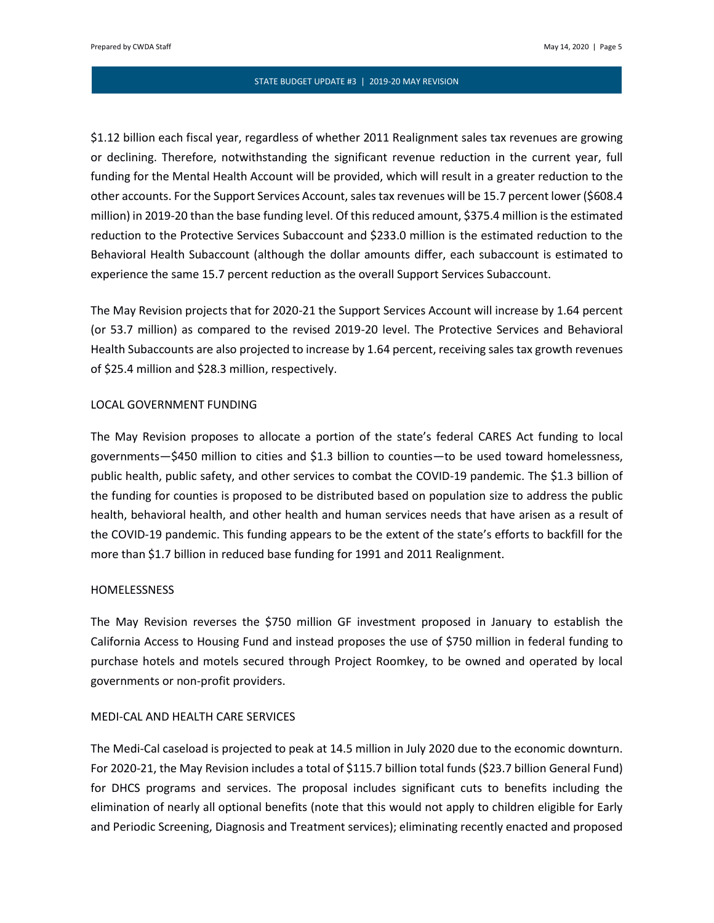\$1.12 billion each fiscal year, regardless of whether 2011 Realignment sales tax revenues are growing or declining. Therefore, notwithstanding the significant revenue reduction in the current year, full funding for the Mental Health Account will be provided, which will result in a greater reduction to the other accounts. For the Support Services Account, sales tax revenues will be 15.7 percent lower (\$608.4 million) in 2019-20 than the base funding level. Of this reduced amount, \$375.4 million is the estimated reduction to the Protective Services Subaccount and \$233.0 million is the estimated reduction to the Behavioral Health Subaccount (although the dollar amounts differ, each subaccount is estimated to experience the same 15.7 percent reduction as the overall Support Services Subaccount.

The May Revision projects that for 2020-21 the Support Services Account will increase by 1.64 percent (or 53.7 million) as compared to the revised 2019-20 level. The Protective Services and Behavioral Health Subaccounts are also projected to increase by 1.64 percent, receiving sales tax growth revenues of \$25.4 million and \$28.3 million, respectively.

### LOCAL GOVERNMENT FUNDING

The May Revision proposes to allocate a portion of the state's federal CARES Act funding to local governments—\$450 million to cities and \$1.3 billion to counties—to be used toward homelessness, public health, public safety, and other services to combat the COVID-19 pandemic. The \$1.3 billion of the funding for counties is proposed to be distributed based on population size to address the public health, behavioral health, and other health and human services needs that have arisen as a result of the COVID-19 pandemic. This funding appears to be the extent of the state's efforts to backfill for the more than \$1.7 billion in reduced base funding for 1991 and 2011 Realignment.

### HOMELESSNESS

The May Revision reverses the \$750 million GF investment proposed in January to establish the California Access to Housing Fund and instead proposes the use of \$750 million in federal funding to purchase hotels and motels secured through Project Roomkey, to be owned and operated by local governments or non-profit providers.

# MEDI-CAL AND HEALTH CARE SERVICES

The Medi-Cal caseload is projected to peak at 14.5 million in July 2020 due to the economic downturn. For 2020-21, the May Revision includes a total of \$115.7 billion total funds (\$23.7 billion General Fund) for DHCS programs and services. The proposal includes significant cuts to benefits including the elimination of nearly all optional benefits (note that this would not apply to children eligible for Early and Periodic Screening, Diagnosis and Treatment services); eliminating recently enacted and proposed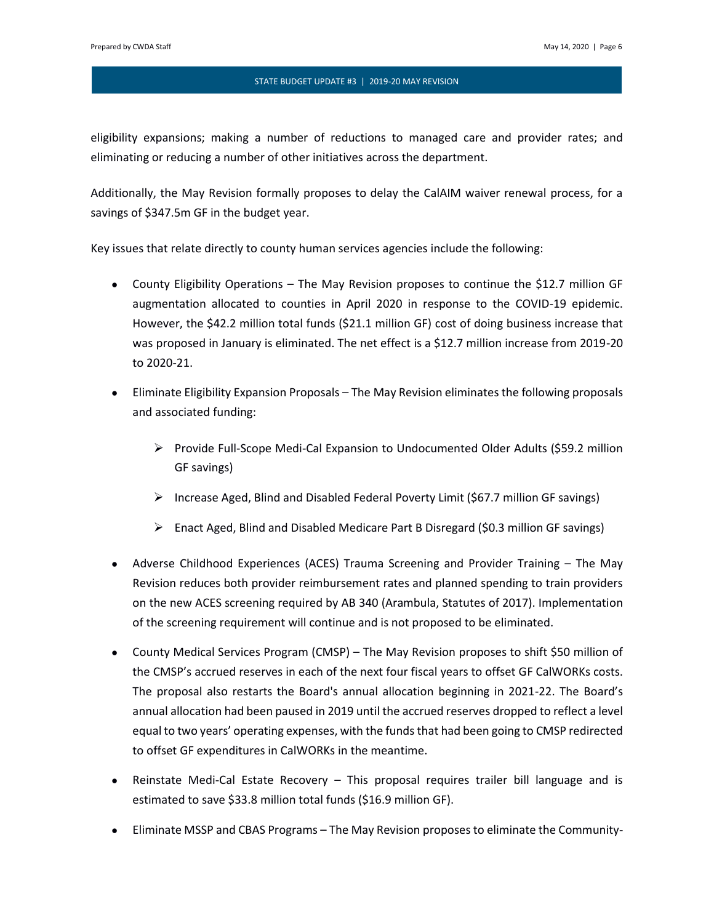eligibility expansions; making a number of reductions to managed care and provider rates; and eliminating or reducing a number of other initiatives across the department.

Additionally, the May Revision formally proposes to delay the CalAIM waiver renewal process, for a savings of \$347.5m GF in the budget year.

Key issues that relate directly to county human services agencies include the following:

- County Eligibility Operations The May Revision proposes to continue the \$12.7 million GF augmentation allocated to counties in April 2020 in response to the COVID-19 epidemic. However, the \$42.2 million total funds (\$21.1 million GF) cost of doing business increase that was proposed in January is eliminated. The net effect is a \$12.7 million increase from 2019-20 to 2020-21.
- Eliminate Eligibility Expansion Proposals The May Revision eliminates the following proposals and associated funding:
	- ➢ Provide Full-Scope Medi-Cal Expansion to Undocumented Older Adults (\$59.2 million GF savings)
	- $\triangleright$  Increase Aged, Blind and Disabled Federal Poverty Limit (\$67.7 million GF savings)
	- $\triangleright$  Enact Aged, Blind and Disabled Medicare Part B Disregard (\$0.3 million GF savings)
- Adverse Childhood Experiences (ACES) Trauma Screening and Provider Training The May Revision reduces both provider reimbursement rates and planned spending to train providers on the new ACES screening required by AB 340 (Arambula, Statutes of 2017). Implementation of the screening requirement will continue and is not proposed to be eliminated.
- County Medical Services Program (CMSP) The May Revision proposes to shift \$50 million of the CMSP's accrued reserves in each of the next four fiscal years to offset GF CalWORKs costs. The proposal also restarts the Board's annual allocation beginning in 2021-22. The Board's annual allocation had been paused in 2019 until the accrued reserves dropped to reflect a level equal to two years' operating expenses, with the funds that had been going to CMSP redirected to offset GF expenditures in CalWORKs in the meantime.
- Reinstate Medi-Cal Estate Recovery This proposal requires trailer bill language and is estimated to save \$33.8 million total funds (\$16.9 million GF).
- Eliminate MSSP and CBAS Programs The May Revision proposes to eliminate the Community-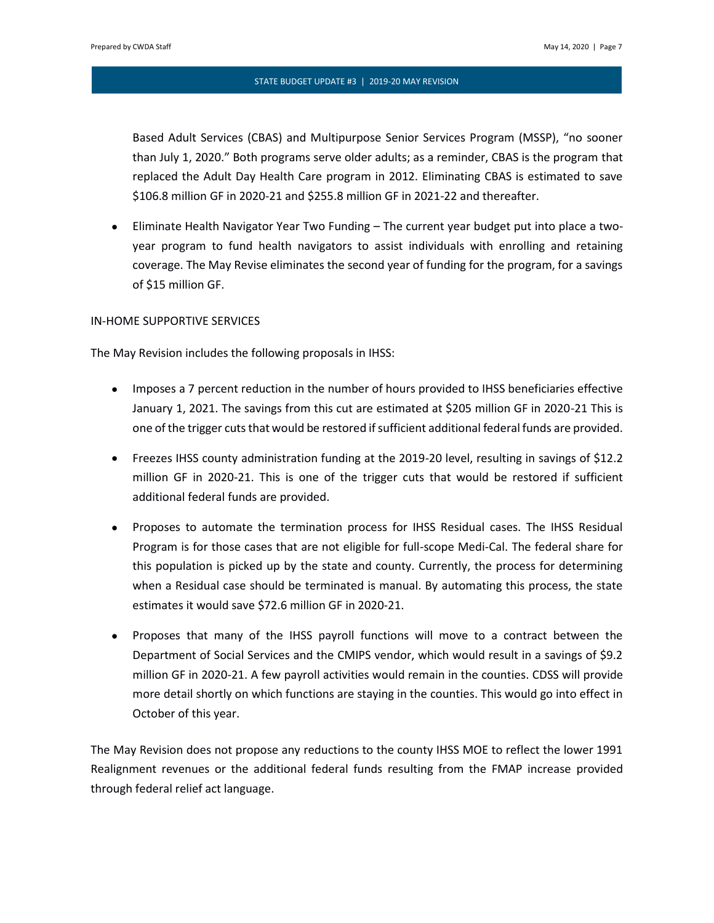Based Adult Services (CBAS) and Multipurpose Senior Services Program (MSSP), "no sooner than July 1, 2020." Both programs serve older adults; as a reminder, CBAS is the program that replaced the Adult Day Health Care program in 2012. Eliminating CBAS is estimated to save \$106.8 million GF in 2020-21 and \$255.8 million GF in 2021-22 and thereafter.

• Eliminate Health Navigator Year Two Funding – The current year budget put into place a twoyear program to fund health navigators to assist individuals with enrolling and retaining coverage. The May Revise eliminates the second year of funding for the program, for a savings of \$15 million GF.

# IN-HOME SUPPORTIVE SERVICES

The May Revision includes the following proposals in IHSS:

- Imposes a 7 percent reduction in the number of hours provided to IHSS beneficiaries effective January 1, 2021. The savings from this cut are estimated at \$205 million GF in 2020-21 This is one of the trigger cuts that would be restored if sufficient additional federal funds are provided.
- Freezes IHSS county administration funding at the 2019-20 level, resulting in savings of \$12.2 million GF in 2020-21. This is one of the trigger cuts that would be restored if sufficient additional federal funds are provided.
- Proposes to automate the termination process for IHSS Residual cases. The IHSS Residual Program is for those cases that are not eligible for full-scope Medi-Cal. The federal share for this population is picked up by the state and county. Currently, the process for determining when a Residual case should be terminated is manual. By automating this process, the state estimates it would save \$72.6 million GF in 2020-21.
- Proposes that many of the IHSS payroll functions will move to a contract between the Department of Social Services and the CMIPS vendor, which would result in a savings of \$9.2 million GF in 2020-21. A few payroll activities would remain in the counties. CDSS will provide more detail shortly on which functions are staying in the counties. This would go into effect in October of this year.

The May Revision does not propose any reductions to the county IHSS MOE to reflect the lower 1991 Realignment revenues or the additional federal funds resulting from the FMAP increase provided through federal relief act language.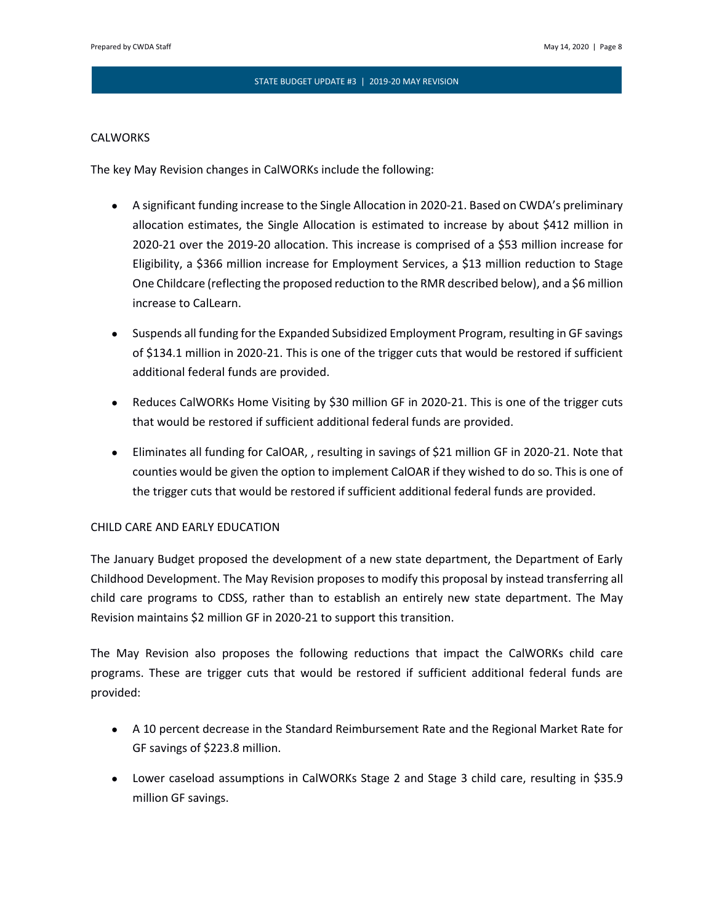# **CALWORKS**

The key May Revision changes in CalWORKs include the following:

- A significant funding increase to the Single Allocation in 2020-21. Based on CWDA's preliminary allocation estimates, the Single Allocation is estimated to increase by about \$412 million in 2020-21 over the 2019-20 allocation. This increase is comprised of a \$53 million increase for Eligibility, a \$366 million increase for Employment Services, a \$13 million reduction to Stage One Childcare (reflecting the proposed reduction to the RMR described below), and a \$6 million increase to CalLearn.
- Suspends all funding for the Expanded Subsidized Employment Program, resulting in GF savings of \$134.1 million in 2020-21. This is one of the trigger cuts that would be restored if sufficient additional federal funds are provided.
- Reduces CalWORKs Home Visiting by \$30 million GF in 2020-21. This is one of the trigger cuts that would be restored if sufficient additional federal funds are provided.
- Eliminates all funding for CalOAR, , resulting in savings of \$21 million GF in 2020-21. Note that counties would be given the option to implement CalOAR if they wished to do so. This is one of the trigger cuts that would be restored if sufficient additional federal funds are provided.

# CHILD CARE AND EARLY EDUCATION

The January Budget proposed the development of a new state department, the Department of Early Childhood Development. The May Revision proposes to modify this proposal by instead transferring all child care programs to CDSS, rather than to establish an entirely new state department. The May Revision maintains \$2 million GF in 2020-21 to support this transition.

The May Revision also proposes the following reductions that impact the CalWORKs child care programs. These are trigger cuts that would be restored if sufficient additional federal funds are provided:

- A 10 percent decrease in the Standard Reimbursement Rate and the Regional Market Rate for GF savings of \$223.8 million.
- Lower caseload assumptions in CalWORKs Stage 2 and Stage 3 child care, resulting in \$35.9 million GF savings.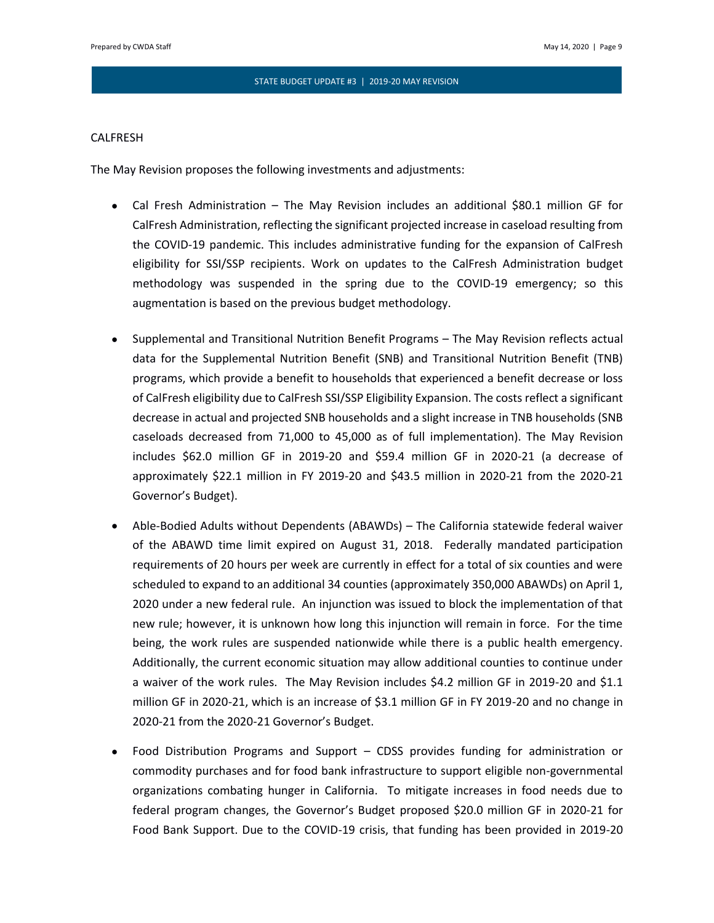### CALFRESH

The May Revision proposes the following investments and adjustments:

- Cal Fresh Administration The May Revision includes an additional \$80.1 million GF for CalFresh Administration, reflecting the significant projected increase in caseload resulting from the COVID-19 pandemic. This includes administrative funding for the expansion of CalFresh eligibility for SSI/SSP recipients. Work on updates to the CalFresh Administration budget methodology was suspended in the spring due to the COVID-19 emergency; so this augmentation is based on the previous budget methodology.
- Supplemental and Transitional Nutrition Benefit Programs The May Revision reflects actual data for the Supplemental Nutrition Benefit (SNB) and Transitional Nutrition Benefit (TNB) programs, which provide a benefit to households that experienced a benefit decrease or loss of CalFresh eligibility due to CalFresh SSI/SSP Eligibility Expansion. The costs reflect a significant decrease in actual and projected SNB households and a slight increase in TNB households (SNB caseloads decreased from 71,000 to 45,000 as of full implementation). The May Revision includes \$62.0 million GF in 2019-20 and \$59.4 million GF in 2020-21 (a decrease of approximately \$22.1 million in FY 2019-20 and \$43.5 million in 2020-21 from the 2020-21 Governor's Budget).
- Able-Bodied Adults without Dependents (ABAWDs) The California statewide federal waiver of the ABAWD time limit expired on August 31, 2018. Federally mandated participation requirements of 20 hours per week are currently in effect for a total of six counties and were scheduled to expand to an additional 34 counties (approximately 350,000 ABAWDs) on April 1, 2020 under a new federal rule. An injunction was issued to block the implementation of that new rule; however, it is unknown how long this injunction will remain in force. For the time being, the work rules are suspended nationwide while there is a public health emergency. Additionally, the current economic situation may allow additional counties to continue under a waiver of the work rules. The May Revision includes \$4.2 million GF in 2019-20 and \$1.1 million GF in 2020-21, which is an increase of \$3.1 million GF in FY 2019-20 and no change in 2020-21 from the 2020-21 Governor's Budget.
- Food Distribution Programs and Support CDSS provides funding for administration or commodity purchases and for food bank infrastructure to support eligible non-governmental organizations combating hunger in California. To mitigate increases in food needs due to federal program changes, the Governor's Budget proposed \$20.0 million GF in 2020-21 for Food Bank Support. Due to the COVID-19 crisis, that funding has been provided in 2019-20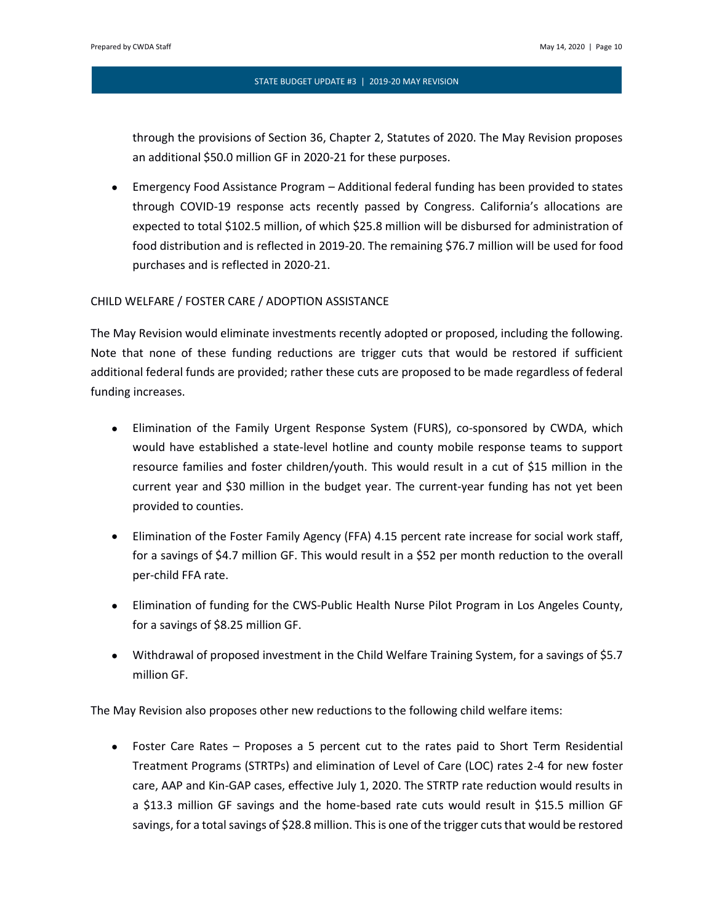through the provisions of Section 36, Chapter 2, Statutes of 2020. The May Revision proposes an additional \$50.0 million GF in 2020-21 for these purposes.

• Emergency Food Assistance Program – Additional federal funding has been provided to states through COVID-19 response acts recently passed by Congress. California's allocations are expected to total \$102.5 million, of which \$25.8 million will be disbursed for administration of food distribution and is reflected in 2019-20. The remaining \$76.7 million will be used for food purchases and is reflected in 2020-21.

# CHILD WELFARE / FOSTER CARE / ADOPTION ASSISTANCE

The May Revision would eliminate investments recently adopted or proposed, including the following. Note that none of these funding reductions are trigger cuts that would be restored if sufficient additional federal funds are provided; rather these cuts are proposed to be made regardless of federal funding increases.

- Elimination of the Family Urgent Response System (FURS), co-sponsored by CWDA, which would have established a state-level hotline and county mobile response teams to support resource families and foster children/youth. This would result in a cut of \$15 million in the current year and \$30 million in the budget year. The current-year funding has not yet been provided to counties.
- Elimination of the Foster Family Agency (FFA) 4.15 percent rate increase for social work staff, for a savings of \$4.7 million GF. This would result in a \$52 per month reduction to the overall per-child FFA rate.
- Elimination of funding for the CWS-Public Health Nurse Pilot Program in Los Angeles County, for a savings of \$8.25 million GF.
- Withdrawal of proposed investment in the Child Welfare Training System, for a savings of \$5.7 million GF.

The May Revision also proposes other new reductions to the following child welfare items:

• Foster Care Rates – Proposes a 5 percent cut to the rates paid to Short Term Residential Treatment Programs (STRTPs) and elimination of Level of Care (LOC) rates 2-4 for new foster care, AAP and Kin-GAP cases, effective July 1, 2020. The STRTP rate reduction would results in a \$13.3 million GF savings and the home-based rate cuts would result in \$15.5 million GF savings, for a total savings of \$28.8 million. This is one of the trigger cuts that would be restored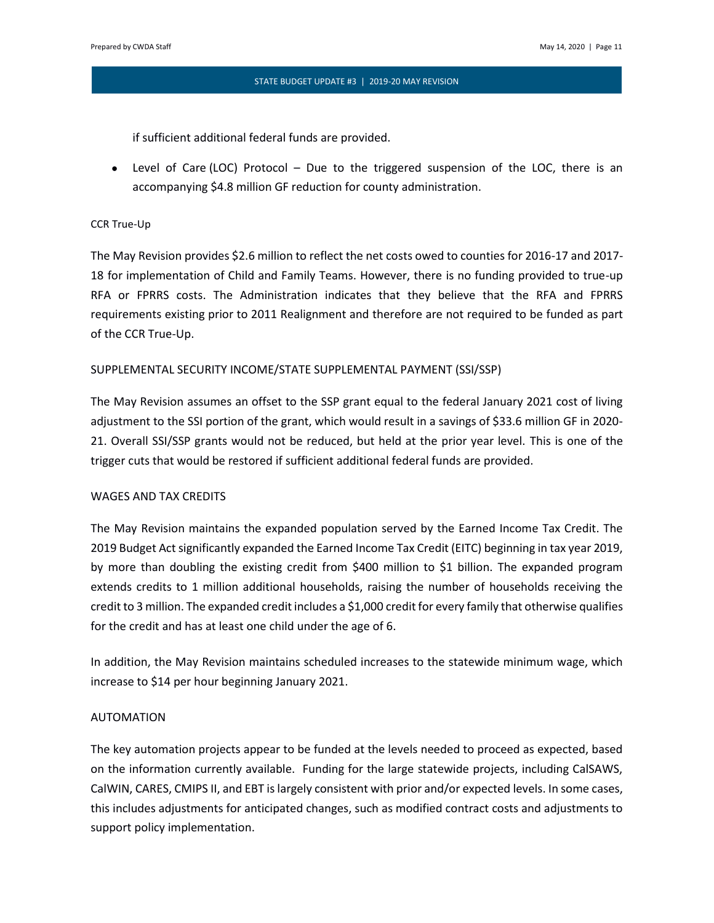if sufficient additional federal funds are provided.

• Level of Care (LOC) Protocol – Due to the triggered suspension of the LOC, there is an accompanying \$4.8 million GF reduction for county administration.

# CCR True-Up

The May Revision provides \$2.6 million to reflect the net costs owed to counties for 2016-17 and 2017- 18 for implementation of Child and Family Teams. However, there is no funding provided to true-up RFA or FPRRS costs. The Administration indicates that they believe that the RFA and FPRRS requirements existing prior to 2011 Realignment and therefore are not required to be funded as part of the CCR True-Up.

# SUPPLEMENTAL SECURITY INCOME/STATE SUPPLEMENTAL PAYMENT (SSI/SSP)

The May Revision assumes an offset to the SSP grant equal to the federal January 2021 cost of living adjustment to the SSI portion of the grant, which would result in a savings of \$33.6 million GF in 2020- 21. Overall SSI/SSP grants would not be reduced, but held at the prior year level. This is one of the trigger cuts that would be restored if sufficient additional federal funds are provided.

# WAGES AND TAX CREDITS

The May Revision maintains the expanded population served by the Earned Income Tax Credit. The 2019 Budget Act significantly expanded the Earned Income Tax Credit (EITC) beginning in tax year 2019, by more than doubling the existing credit from \$400 million to \$1 billion. The expanded program extends credits to 1 million additional households, raising the number of households receiving the credit to 3 million. The expanded credit includes a \$1,000 credit for every family that otherwise qualifies for the credit and has at least one child under the age of 6.

In addition, the May Revision maintains scheduled increases to the statewide minimum wage, which increase to \$14 per hour beginning January 2021.

# AUTOMATION

The key automation projects appear to be funded at the levels needed to proceed as expected, based on the information currently available. Funding for the large statewide projects, including CalSAWS, CalWIN, CARES, CMIPS II, and EBT is largely consistent with prior and/or expected levels. In some cases, this includes adjustments for anticipated changes, such as modified contract costs and adjustments to support policy implementation.